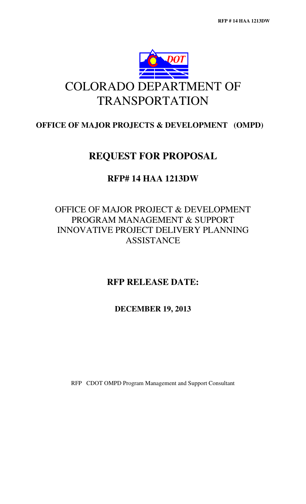

# COLORADO DEPARTMENT OF TRANSPORTATION

## **OFFICE OF MAJOR PROJECTS & DEVELOPMENT (OMPD)**

## **REQUEST FOR PROPOSAL**

## **RFP# 14 HAA 1213DW**

## OFFICE OF MAJOR PROJECT & DEVELOPMENT PROGRAM MANAGEMENT & SUPPORT INNOVATIVE PROJECT DELIVERY PLANNING **ASSISTANCE**

## **RFP RELEASE DATE:**

## **DECEMBER 19, 2013**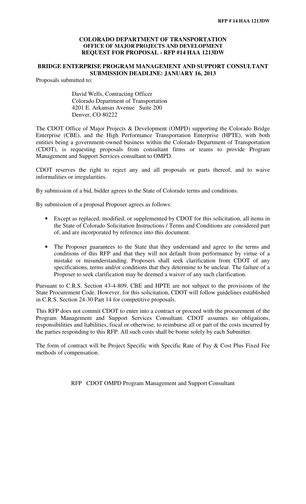### **COLORADO DEPARTMENT OF TRANSPORTATION OFFICE OF MAJOR PROJECTS AND DEVELOPMENT REQUEST FOR PROPOSAL - RFP #14 HAA 1213DW**

### **BRIDGE ENTERPRISE PROGRAM MANAGEMENT AND SUPPORT CONSULTANT SUBMISSION DEADLINE: JANUARY 16, 2013**

Proposals submitted to:

David Wells, Contracting Officer Colorado Department of Transportation 4201 E. Arkansas Avenue Suite 200 Denver, CO 80222

The CDOT Office of Major Projects & Development (OMPD) supporting the Colorado Bridge Enterprise (CBE), and the High Performance Transportation Enterprise (HPTE), with both entities being a government-owned business within the Colorado Department of Transportation (CDOT), is requesting proposals from consultant firms or teams to provide Program Management and Support Services consultant to OMPD.

CDOT reserves the right to reject any and all proposals or parts thereof, and to waive informalities or irregularities.

By submission of a bid, bidder agrees to the State of Colorado terms and conditions.

By submission of a proposal Proposer agrees as follows:

- Except as replaced, modified, or supplemented by CDOT for this solicitation, all items in the State of Colorado Solicitation Instructions / Terms and Conditions are considered part of, and are incorporated by reference into this document.
- The Proposer guarantees to the State that they understand and agree to the terms and conditions of this RFP and that they will not default from performance by virtue of a mistake or misunderstanding. Proposers shall seek clarification from CDOT of any specifications, terms and/or conditions that they determine to be unclear. The failure of a Proposer to seek clarification may be deemed a waiver of any such clarification.

Pursuant to C.R.S. Section 43-4-809, CBE and HPTE are not subject to the provisions of the State Procurement Code. However, for this solicitation, CDOT will follow guidelines established in C.R.S. Section 24-30 Part 14 for competitive proposals.

This RFP does not commit CDOT to enter into a contract or proceed with the procurement of the Program Management and Support Services Consultant. CDOT assumes no obligations, responsibilities and liabilities, fiscal or otherwise, to reimburse all or part of the costs incurred by the parties responding to this RFP. All such costs shall be borne solely by each Submitter.

The form of contract will be Project Specific with Specific Rate of Pay & Cost Plus Fixed Fee methods of compensation.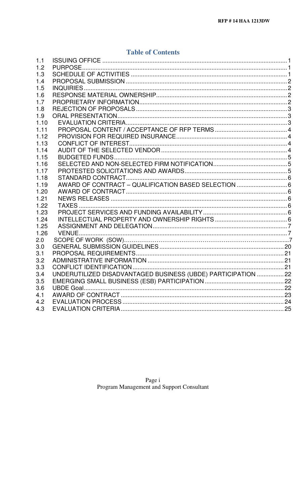## **Table of Contents**

| 1.1  |                                                               |  |
|------|---------------------------------------------------------------|--|
| 1.2  |                                                               |  |
| 1.3  |                                                               |  |
| 1.4  |                                                               |  |
| 1.5  |                                                               |  |
| 1.6  |                                                               |  |
| 1.7  |                                                               |  |
| 1.8  |                                                               |  |
| 1.9  |                                                               |  |
| 1.10 |                                                               |  |
| 1.11 |                                                               |  |
| 1.12 |                                                               |  |
| 1.13 |                                                               |  |
| 1.14 |                                                               |  |
| 1.15 |                                                               |  |
| 1.16 |                                                               |  |
| 1.17 |                                                               |  |
| 1.18 |                                                               |  |
| 1.19 | AWARD OF CONTRACT - QUALIFICATION BASED SELECTION  6          |  |
| 1.20 |                                                               |  |
| 1.21 |                                                               |  |
| 1.22 |                                                               |  |
| 1.23 |                                                               |  |
| 1.24 |                                                               |  |
| 1.25 |                                                               |  |
| 1.26 |                                                               |  |
| 2.0  |                                                               |  |
| 3.0  |                                                               |  |
| 3.1  |                                                               |  |
| 3.2  |                                                               |  |
| 3.3  |                                                               |  |
| 3.4  | UNDERUTILIZED DISADVANTAGED BUSINESS (UBDE) PARTICIPATION  22 |  |
| 3.5  |                                                               |  |
| 3.6  |                                                               |  |
| 4.1  |                                                               |  |
| 4.2  |                                                               |  |
| 4.3  |                                                               |  |
|      |                                                               |  |

Page i<br>Program Management and Support Consultant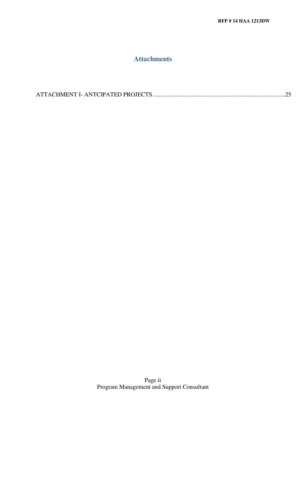## **Attachments**

|--|--|

Page ii Program Management and Support Consultant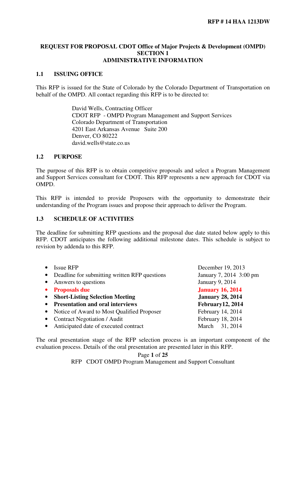### **REQUEST FOR PROPOSAL CDOT Office of Major Projects & Development (OMPD) SECTION 1 ADMINISTRATIVE INFORMATION**

## **1.1 ISSUING OFFICE**

This RFP is issued for the State of Colorado by the Colorado Department of Transportation on behalf of the OMPD. All contact regarding this RFP is to be directed to:

> David Wells, Contracting Officer CDOT RFP - OMPD Program Management and Support Services Colorado Department of Transportation 4201 East Arkansas Avenue Suite 200 Denver, CO 80222 david.wells@state.co.us

## **1.2 PURPOSE**

The purpose of this RFP is to obtain competitive proposals and select a Program Management and Support Services consultant for CDOT. This RFP represents a new approach for CDOT via OMPD.

This RFP is intended to provide Proposers with the opportunity to demonstrate their understanding of the Program issues and propose their approach to deliver the Program.

## **1.3 SCHEDULE OF ACTIVITIES**

The deadline for submitting RFP questions and the proposal due date stated below apply to this RFP. CDOT anticipates the following additional milestone dates. This schedule is subject to revision by addenda to this RFP.

|           | <b>Issue RFP</b>                              | December 19, 2013       |
|-----------|-----------------------------------------------|-------------------------|
| $\bullet$ | Deadline for submitting written RFP questions | January 7, 2014 3:00 pm |
|           | Answers to questions                          | January 9, 2014         |
|           | <b>Proposals due</b>                          | <b>January 16, 2014</b> |
| $\bullet$ | <b>Short-Listing Selection Meeting</b>        | <b>January 28, 2014</b> |
|           | <b>Presentation and oral interviews</b>       | February12, 2014        |
|           | Notice of Award to Most Qualified Proposer    | February 14, 2014       |
|           | <b>Contract Negotiation / Audit</b>           | February 18, 2014       |
|           | Anticipated date of executed contract         | March 31, 2014          |

The oral presentation stage of the RFP selection process is an important component of the evaluation process. Details of the oral presentation are presented later in this RFP.

Page **1** of **25**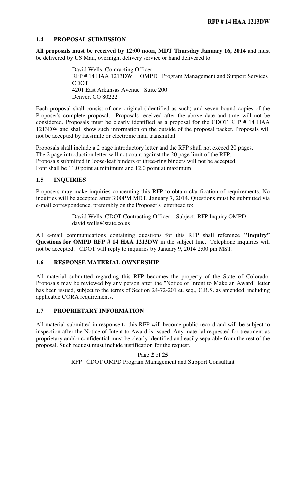## **1.4 PROPOSAL SUBMISSION**

**All proposals must be received by 12:00 noon, MDT Thursday January 16, 2014** and must be delivered by US Mail, overnight delivery service or hand delivered to:

> David Wells, Contracting Officer RFP # 14 HAA 1213DW OMPD Program Management and Support Services CDOT 4201 East Arkansas Avenue Suite 200 Denver, CO 80222

Each proposal shall consist of one original (identified as such) and seven bound copies of the Proposer's complete proposal. Proposals received after the above date and time will not be considered. Proposals must be clearly identified as a proposal for the CDOT RFP # 14 HAA 1213DW and shall show such information on the outside of the proposal packet. Proposals will not be accepted by facsimile or electronic mail transmittal.

Proposals shall include a 2 page introductory letter and the RFP shall not exceed 20 pages. The 2 page introduction letter will not count against the 20 page limit of the RFP. Proposals submitted in loose-leaf binders or three-ring binders will not be accepted. Font shall be 11.0 point at minimum and 12.0 point at maximum

#### **1.5 INQUIRIES**

Proposers may make inquiries concerning this RFP to obtain clarification of requirements. No inquiries will be accepted after 3:00PM MDT, January 7, 2014. Questions must be submitted via e-mail correspondence, preferably on the Proposer's letterhead to:

> David Wells, CDOT Contracting Officer Subject: RFP Inquiry OMPD david.wells@state.co.us

All e-mail communications containing questions for this RFP shall reference **"Inquiry" Questions for OMPD RFP # 14 HAA 1213DW** in the subject line. Telephone inquiries will not be accepted. CDOT will reply to inquiries by January 9, 2014 2:00 pm MST.

#### **1.6 RESPONSE MATERIAL OWNERSHIP**

All material submitted regarding this RFP becomes the property of the State of Colorado. Proposals may be reviewed by any person after the "Notice of Intent to Make an Award" letter has been issued, subject to the terms of Section 24-72-201 et. seq., C.R.S. as amended, including applicable CORA requirements.

## **1.7 PROPRIETARY INFORMATION**

All material submitted in response to this RFP will become public record and will be subject to inspection after the Notice of Intent to Award is issued. Any material requested for treatment as proprietary and/or confidential must be clearly identified and easily separable from the rest of the proposal. Such request must include justification for the request.

> Page **2** of **25**  RFP CDOT OMPD Program Management and Support Consultant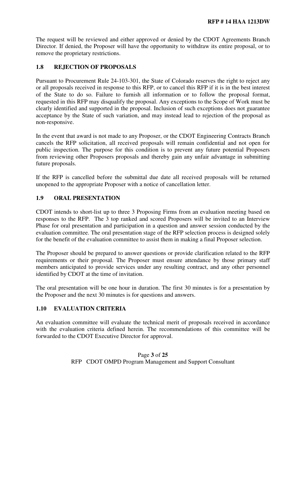The request will be reviewed and either approved or denied by the CDOT Agreements Branch Director. If denied, the Proposer will have the opportunity to withdraw its entire proposal, or to remove the proprietary restrictions.

### **1.8 REJECTION OF PROPOSALS**

Pursuant to Procurement Rule 24-103-301, the State of Colorado reserves the right to reject any or all proposals received in response to this RFP, or to cancel this RFP if it is in the best interest of the State to do so. Failure to furnish all information or to follow the proposal format, requested in this RFP may disqualify the proposal. Any exceptions to the Scope of Work must be clearly identified and supported in the proposal. Inclusion of such exceptions does not guarantee acceptance by the State of such variation, and may instead lead to rejection of the proposal as non-responsive.

In the event that award is not made to any Proposer, or the CDOT Engineering Contracts Branch cancels the RFP solicitation, all received proposals will remain confidential and not open for public inspection. The purpose for this condition is to prevent any future potential Proposers from reviewing other Proposers proposals and thereby gain any unfair advantage in submitting future proposals.

If the RFP is cancelled before the submittal due date all received proposals will be returned unopened to the appropriate Proposer with a notice of cancellation letter.

## **1.9 ORAL PRESENTATION**

CDOT intends to short-list up to three 3 Proposing Firms from an evaluation meeting based on responses to the RFP. The 3 top ranked and scored Proposers will be invited to an Interview Phase for oral presentation and participation in a question and answer session conducted by the evaluation committee. The oral presentation stage of the RFP selection process is designed solely for the benefit of the evaluation committee to assist them in making a final Proposer selection.

The Proposer should be prepared to answer questions or provide clarification related to the RFP requirements or their proposal. The Proposer must ensure attendance by those primary staff members anticipated to provide services under any resulting contract, and any other personnel identified by CDOT at the time of invitation.

The oral presentation will be one hour in duration. The first 30 minutes is for a presentation by the Proposer and the next 30 minutes is for questions and answers.

## **1.10 EVALUATION CRITERIA**

An evaluation committee will evaluate the technical merit of proposals received in accordance with the evaluation criteria defined herein. The recommendations of this committee will be forwarded to the CDOT Executive Director for approval.

> Page **3** of **25**  RFP CDOT OMPD Program Management and Support Consultant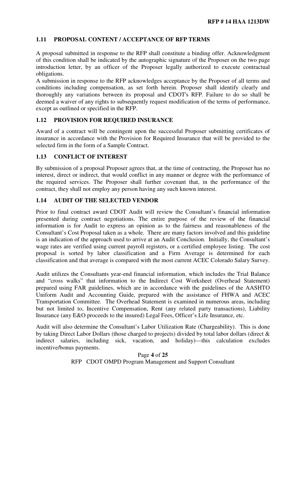## **1.11 PROPOSAL CONTENT / ACCEPTANCE OF RFP TERMS**

A proposal submitted in response to the RFP shall constitute a binding offer. Acknowledgment of this condition shall be indicated by the autographic signature of the Proposer on the two page introduction letter, by an officer of the Proposer legally authorized to execute contractual obligations.

A submission in response to the RFP acknowledges acceptance by the Proposer of all terms and conditions including compensation, as set forth herein. Proposer shall identify clearly and thoroughly any variations between its proposal and CDOT's RFP. Failure to do so shall be deemed a waiver of any rights to subsequently request modification of the terms of performance, except as outlined or specified in the RFP.

## **1.12 PROVISION FOR REQUIRED INSURANCE**

Award of a contract will be contingent upon the successful Proposer submitting certificates of insurance in accordance with the Provision for Required Insurance that will be provided to the selected firm in the form of a Sample Contract.

## **1.13 CONFLICT OF INTEREST**

By submission of a proposal Proposer agrees that, at the time of contracting, the Proposer has no interest, direct or indirect, that would conflict in any manner or degree with the performance of the required services. The Proposer shall further covenant that, in the performance of the contract, they shall not employ any person having any such known interest.

## **1.14 AUDIT OF THE SELECTED VENDOR**

Prior to final contract award CDOT Audit will review the Consultant's financial information presented during contract negotiations. The entire purpose of the review of the financial information is for Audit to express an opinion as to the fairness and reasonableness of the Consultant's Cost Proposal taken as a whole. There are many factors involved and this guideline is an indication of the approach used to arrive at an Audit Conclusion. Initially, the Consultant's wage rates are verified using current payroll registers, or a certified employee listing. The cost proposal is sorted by labor classification and a Firm Average is determined for each classification and that average is compared with the most current ACEC Colorado Salary Survey.

Audit utilizes the Consultants year-end financial information, which includes the Trial Balance and "cross walks" that information to the Indirect Cost Worksheet (Overhead Statement) prepared using FAR guidelines, which are in accordance with the guidelines of the AASHTO Uniform Audit and Accounting Guide, prepared with the assistance of FHWA and ACEC Transportation Committee. The Overhead Statement is examined in numerous areas, including but not limited to, Incentive Compensation, Rent (any related party transactions), Liability Insurance (any E&O proceeds to the insured) Legal Fees, Officer's Life Insurance, etc.

Audit will also determine the Consultant's Labor Utilization Rate (Chargeability). This is done by taking Direct Labor Dollars (those charged to projects) divided by total labor dollars (direct & indirect salaries, including sick, vacation, and holiday)—this calculation excludes incentive/bonus payments.

> Page **4** of **25**  RFP CDOT OMPD Program Management and Support Consultant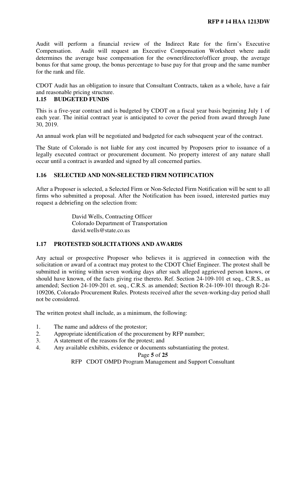Audit will perform a financial review of the Indirect Rate for the firm's Executive Compensation. Audit will request an Executive Compensation Worksheet where audit determines the average base compensation for the owner/director/officer group, the average bonus for that same group, the bonus percentage to base pay for that group and the same number for the rank and file.

CDOT Audit has an obligation to insure that Consultant Contracts, taken as a whole, have a fair and reasonable pricing structure.

## **1.15 BUDGETED FUNDS**

This is a five-year contract and is budgeted by CDOT on a fiscal year basis beginning July 1 of each year. The initial contract year is anticipated to cover the period from award through June 30, 2019.

An annual work plan will be negotiated and budgeted for each subsequent year of the contract.

The State of Colorado is not liable for any cost incurred by Proposers prior to issuance of a legally executed contract or procurement document. No property interest of any nature shall occur until a contract is awarded and signed by all concerned parties.

## **1.16 SELECTED AND NON-SELECTED FIRM NOTIFICATION**

After a Proposer is selected, a Selected Firm or Non-Selected Firm Notification will be sent to all firms who submitted a proposal. After the Notification has been issued, interested parties may request a debriefing on the selection from:

> David Wells, Contracting Officer Colorado Department of Transportation david.wells@state.co.us

## **1.17 PROTESTED SOLICITATIONS AND AWARDS**

Any actual or prospective Proposer who believes it is aggrieved in connection with the solicitation or award of a contract may protest to the CDOT Chief Engineer. The protest shall be submitted in writing within seven working days after such alleged aggrieved person knows, or should have known, of the facts giving rise thereto. Ref. Section 24-109-101 et seq., C.R.S., as amended; Section 24-109-201 et. seq., C.R.S. as amended; Section R-24-109-101 through R-24- 109206, Colorado Procurement Rules. Protests received after the seven-working-day period shall not be considered.

The written protest shall include, as a minimum, the following:

- 1. The name and address of the protestor;
- 2. Appropriate identification of the procurement by RFP number;
- 3. A statement of the reasons for the protest; and
- 4. Any available exhibits, evidence or documents substantiating the protest.

Page **5** of **25**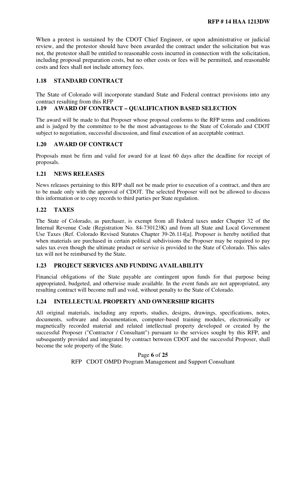When a protest is sustained by the CDOT Chief Engineer, or upon administrative or judicial review, and the protestor should have been awarded the contract under the solicitation but was not, the protestor shall be entitled to reasonable costs incurred in connection with the solicitation, including proposal preparation costs, but no other costs or fees will be permitted, and reasonable costs and fees shall not include attorney fees.

#### **1.18 STANDARD CONTRACT**

The State of Colorado will incorporate standard State and Federal contract provisions into any contract resulting from this RFP

## **1.19 AWARD OF CONTRACT – QUALIFICATION BASED SELECTION**

The award will be made to that Proposer whose proposal conforms to the RFP terms and conditions and is judged by the committee to be the most advantageous to the State of Colorado and CDOT subject to negotiation, successful discussion, and final execution of an acceptable contract.

#### **1.20 AWARD OF CONTRACT**

Proposals must be firm and valid for award for at least 60 days after the deadline for receipt of proposals.

### **1.21 NEWS RELEASES**

News releases pertaining to this RFP shall not be made prior to execution of a contract, and then are to be made only with the approval of CDOT. The selected Proposer will not be allowed to discuss this information or to copy records to third parties per State regulation.

#### **1.22 TAXES**

The State of Colorado, as purchaser, is exempt from all Federal taxes under Chapter 32 of the Internal Revenue Code (Registration No. 84-730123K) and from all State and Local Government Use Taxes (Ref. Colorado Revised Statutes Chapter 39-26.114[a]. Proposer is hereby notified that when materials are purchased in certain political subdivisions the Proposer may be required to pay sales tax even though the ultimate product or service is provided to the State of Colorado. This sales tax will not be reimbursed by the State.

## **1.23 PROJECT SERVICES AND FUNDING AVAILABILITY**

Financial obligations of the State payable are contingent upon funds for that purpose being appropriated, budgeted, and otherwise made available. In the event funds are not appropriated, any resulting contract will become null and void, without penalty to the State of Colorado.

#### **1.24 INTELLECTUAL PROPERTY AND OWNERSHIP RIGHTS**

All original materials, including any reports, studies, designs, drawings, specifications, notes, documents, software and documentation, computer-based training modules, electronically or magnetically recorded material and related intellectual property developed or created by the successful Proposer ("Contractor / Consultant") pursuant to the services sought by this RFP, and subsequently provided and integrated by contract between CDOT and the successful Proposer, shall become the sole property of the State.

> Page **6** of **25**  RFP CDOT OMPD Program Management and Support Consultant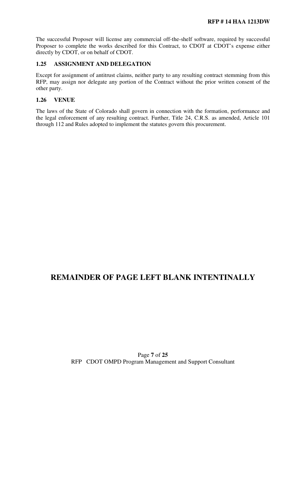The successful Proposer will license any commercial off-the-shelf software, required by successful Proposer to complete the works described for this Contract, to CDOT at CDOT's expense either directly by CDOT, or on behalf of CDOT.

### **1.25 ASSIGNMENT AND DELEGATION**

Except for assignment of antitrust claims, neither party to any resulting contract stemming from this RFP, may assign nor delegate any portion of the Contract without the prior written consent of the other party.

## **1.26 VENUE**

The laws of the State of Colorado shall govern in connection with the formation, performance and the legal enforcement of any resulting contract. Further, Title 24, C.R.S. as amended, Article 101 through 112 and Rules adopted to implement the statutes govern this procurement.

## **REMAINDER OF PAGE LEFT BLANK INTENTINALLY**

## Page **7** of **25**  RFP CDOT OMPD Program Management and Support Consultant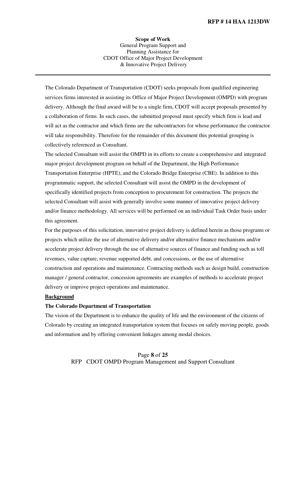**Scope of Work**  General Program Support and Planning Assistance for CDOT Office of Major Project Development & Innovative Project Delivery

The Colorado Department of Transportation (CDOT) seeks proposals from qualified engineering services firms interested in assisting its Office of Major Project Development (OMPD) with program delivery. Although the final award will be to a single firm, CDOT will accept proposals presented by a collaboration of firms. In such cases, the submitted proposal must specify which firm is lead and will act as the contractor and which firms are the subcontractors for whose performance the contractor will take responsibility. Therefore for the remainder of this document this potential grouping is collectively referenced as Consultant.

The selected Consultant will assist the OMPD in its efforts to create a comprehensive and integrated major project development program on behalf of the Department, the High Performance Transportation Enterprise (HPTE), and the Colorado Bridge Enterprise (CBE). In addition to this programmatic support, the selected Consultant will assist the OMPD in the development of specifically identified projects from conception to procurement for construction. The projects the selected Consultant will assist with generally involve some manner of innovative project delivery and/or finance methodology. All services will be performed on an individual Task Order basis under this agreement.

For the purposes of this solicitation, innovative project delivery is defined herein as those programs or projects which utilize the use of alternative delivery and/or alternative finance mechanisms and/or accelerate project delivery through the use of alternative sources of finance and funding such as toll revenues, value capture, revenue supported debt, and concessions, or the use of alternative construction and operations and maintenance. Contracting methods such as design build, construction manager / general contractor, concession agreements are examples of methods to accelerate project delivery or improve project operations and maintenance.

#### **Background**

#### **The Colorado Department of Transportation**

The vision of the Department is to enhance the quality of life and the environment of the citizens of Colorado by creating an integrated transportation system that focuses on safely moving people, goods and information and by offering convenient linkages among modal choices.

> Page **8** of **25**  RFP CDOT OMPD Program Management and Support Consultant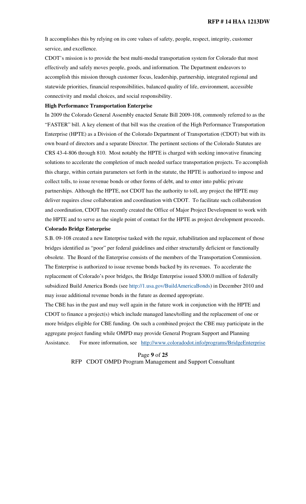It accomplishes this by relying on its core values of safety, people, respect, integrity, customer service, and excellence.

CDOT's mission is to provide the best multi-modal transportation system for Colorado that most effectively and safely moves people, goods, and information. The Department endeavors to accomplish this mission through customer focus, leadership, partnership, integrated regional and statewide priorities, financial responsibilities, balanced quality of life, environment, accessible connectivity and modal choices, and social responsibility.

#### **High Performance Transportation Enterprise**

In 2009 the Colorado General Assembly enacted Senate Bill 2009-108, commonly referred to as the "FASTER" bill. A key element of that bill was the creation of the High Performance Transportation Enterprise (HPTE) as a Division of the Colorado Department of Transportation (CDOT) but with its own board of directors and a separate Director. The pertinent sections of the Colorado Statutes are CRS 43-4-806 through 810. Most notably the HPTE is charged with seeking innovative financing solutions to accelerate the completion of much needed surface transportation projects. To accomplish this charge, within certain parameters set forth in the statute, the HPTE is authorized to impose and collect tolls, to issue revenue bonds or other forms of debt, and to enter into public private partnerships. Although the HPTE, not CDOT has the authority to toll, any project the HPTE may deliver requires close collaboration and coordination with CDOT. To facilitate such collaboration and coordination, CDOT has recently created the Office of Major Project Development to work with the HPTE and to serve as the single point of contact for the HPTE as project development proceeds.

#### **Colorado Bridge Enterprise**

S.B. 09-108 created a new Enterprise tasked with the repair, rehabilitation and replacement of those bridges identified as "poor" per federal guidelines and either structurally deficient or functionally obsolete. The Board of the Enterprise consists of the members of the Transportation Commission. The Enterprise is authorized to issue revenue bonds backed by its revenues. To accelerate the replacement of Colorado's poor bridges, the Bridge Enterprise issued \$300.0 million of federally subsidized Build America Bonds (see http://1.usa.gov/BuildAmericaBonds) in December 2010 and may issue additional revenue bonds in the future as deemed appropriate.

The CBE has in the past and may well again in the future work in conjunction with the HPTE and CDOT to finance a project(s) which include managed lanes/tolling and the replacement of one or more bridges eligible for CBE funding. On such a combined project the CBE may participate in the aggregate project funding while OMPD may provide General Program Support and Planning Assistance. For more information, see http://www.coloradodot.info/programs/BridgeEnterprise

> Page **9** of **25**  RFP CDOT OMPD Program Management and Support Consultant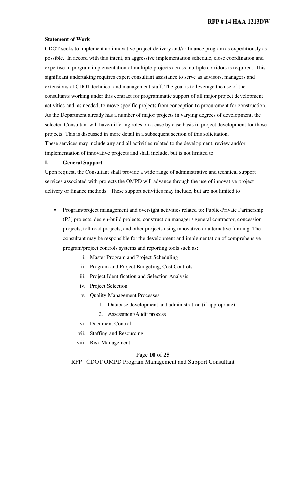#### **Statement of Work**

CDOT seeks to implement an innovative project delivery and/or finance program as expeditiously as possible. In accord with this intent, an aggressive implementation schedule, close coordination and expertise in program implementation of multiple projects across multiple corridors is required. This significant undertaking requires expert consultant assistance to serve as advisors, managers and extensions of CDOT technical and management staff. The goal is to leverage the use of the consultants working under this contract for programmatic support of all major project development activities and, as needed, to move specific projects from conception to procurement for construction. As the Department already has a number of major projects in varying degrees of development, the selected Consultant will have differing roles on a case by case basis in project development for those projects. This is discussed in more detail in a subsequent section of this solicitation. These services may include any and all activities related to the development, review and/or implementation of innovative projects and shall include, but is not limited to:

#### **I. General Support**

Upon request, the Consultant shall provide a wide range of administrative and technical support services associated with projects the OMPD will advance through the use of innovative project delivery or finance methods. These support activities may include, but are not limited to:

- Program/project management and oversight activities related to: Public-Private Partnership (P3) projects, design-build projects, construction manager / general contractor, concession projects, toll road projects, and other projects using innovative or alternative funding. The consultant may be responsible for the development and implementation of comprehensive program/project controls systems and reporting tools such as:
	- i. Master Program and Project Scheduling
	- ii. Program and Project Budgeting, Cost Controls
	- iii. Project Identification and Selection Analysis
	- iv. Project Selection
	- v. Quality Management Processes
		- 1. Database development and administration (if appropriate)
		- 2. Assessment/Audit process
	- vi. Document Control
	- vii. Staffing and Resourcing
	- viii. Risk Management

#### Page **10** of **25**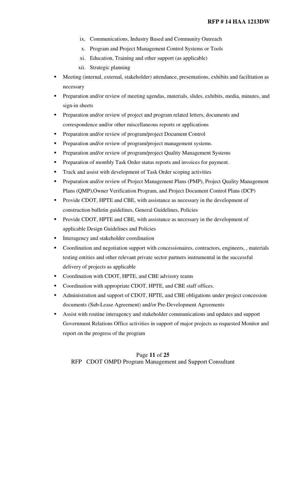- ix. Communications, Industry Based and Community Outreach
- x. Program and Project Management Control Systems or Tools
- xi. Education, Training and other support (as applicable)
- xii. Strategic planning
- Meeting (internal, external, stakeholder) attendance, presentations, exhibits and facilitation as necessary
- **Preparation and/or review of meeting agendas, materials, slides, exhibits, media, minutes, and** sign-in sheets
- **Preparation and/or review of project and program related letters, documents and** correspondence and/or other miscellaneous reports or applications
- **Preparation and/or review of program/project Document Control**
- **Preparation and/or review of program/project management systems.**
- **Preparation and/or review of program/project Quality Management Systems**
- **Preparation of monthly Task Order status reports and invoices for payment.**
- Track and assist with development of Task Order scoping activities
- **Preparation and/or review of Project Management Plans (PMP), Project Quality Management** Plans (QMP),Owner Verification Program, and Project Document Control Plans (DCP)
- **Provide CDOT, HPTE and CBE, with assistance as necessary in the development of** construction bulletin guidelines, General Guidelines, Policies
- **Provide CDOT, HPTE and CBE, with assistance as necessary in the development of** applicable Design Guidelines and Policies
- **Interagency and stakeholder coordination**
- Coordination and negotiation support with concessionaires, contractors, engineers, , materials testing entities and other relevant private sector partners instrumental in the successful delivery of projects as applicable
- Coordination with CDOT, HPTE, and CBE advisory teams
- Coordination with appropriate CDOT, HPTE, and CBE staff offices.
- Administration and support of CDOT, HPTE, and CBE obligations under project concession documents (Sub-Lease Agreement) and/or Pre-Development Agreements
- Assist with routine interagency and stakeholder communications and updates and support Government Relations Office activities in support of major projects as requested Monitor and report on the progress of the program

## Page **11** of **25**  RFP CDOT OMPD Program Management and Support Consultant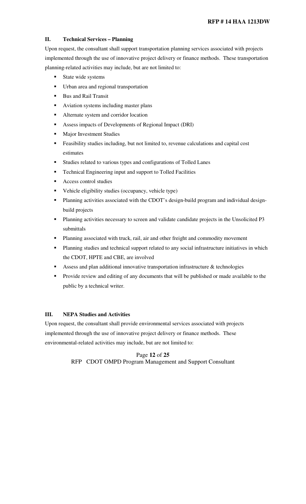## **II. Technical Services – Planning**

Upon request, the consultant shall support transportation planning services associated with projects implemented through the use of innovative project delivery or finance methods. These transportation planning-related activities may include, but are not limited to:

- State wide systems
- Urban area and regional transportation
- **Bus and Rail Transit**
- Aviation systems including master plans
- **Alternate system and corridor location**
- Assess impacts of Developments of Regional Impact (DRI)
- **Major Investment Studies**
- **Feasibility studies including, but not limited to, revenue calculations and capital cost** estimates
- Studies related to various types and configurations of Tolled Lanes
- **Technical Engineering input and support to Tolled Facilities**
- Access control studies
- Vehicle eligibility studies (occupancy, vehicle type)
- Planning activities associated with the CDOT's design-build program and individual designbuild projects
- **Planning activities necessary to screen and validate candidate projects in the Unsolicited P3** submittals
- Planning associated with truck, rail, air and other freight and commodity movement
- Planning studies and technical support related to any social infrastructure initiatives in which the CDOT, HPTE and CBE, are involved
- Assess and plan additional innovative transportation infrastructure  $&$  technologies
- **Provide review and editing of any documents that will be published or made available to the** public by a technical writer.

#### **III. NEPA Studies and Activities**

Upon request, the consultant shall provide environmental services associated with projects implemented through the use of innovative project delivery or finance methods. These environmental-related activities may include, but are not limited to:

> Page **12** of **25**  RFP CDOT OMPD Program Management and Support Consultant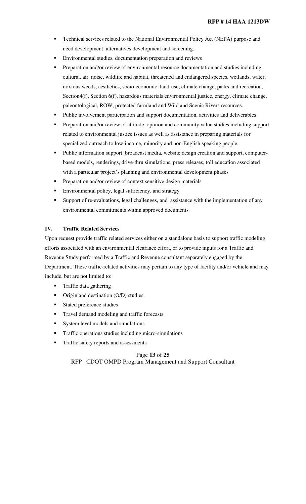- **Technical services related to the National Environmental Policy Act (NEPA) purpose and** need development, alternatives development and screening.
- Environmental studies, documentation preparation and reviews
- Preparation and/or review of environmental resource documentation and studies including: cultural, air, noise, wildlife and habitat, threatened and endangered species, wetlands, water, noxious weeds, aesthetics, socio-economic, land-use, climate change, parks and recreation, Section4(f), Section 6(f), hazardous materials environmental justice, energy, climate change, paleontological, ROW, protected farmland and Wild and Scenic Rivers resources.
- **Public involvement participation and support documentation, activities and deliverables**
- Preparation and/or review of attitude, opinion and community value studies including support related to environmental justice issues as well as assistance in preparing materials for specialized outreach to low-income, minority and non-English speaking people.
- Public information support, broadcast media, website design creation and support, computerbased models, renderings, drive-thru simulations, press releases, toll education associated with a particular project's planning and environmental development phases
- Preparation and/or review of context sensitive design materials
- **Environmental policy, legal sufficiency, and strategy**
- Support of re-evaluations, legal challenges, and assistance with the implementation of any environmental commitments within approved documents

#### **IV. Traffic Related Services**

Upon request provide traffic related services either on a standalone basis to support traffic modeling efforts associated with an environmental clearance effort, or to provide inputs for a Traffic and Revenue Study performed by a Traffic and Revenue consultant separately engaged by the Department. These traffic-related activities may pertain to any type of facility and/or vehicle and may include, but are not limited to:

- **Traffic data gathering**
- Origin and destination (O/D) studies
- **Stated preference studies**
- **Travel demand modeling and traffic forecasts**
- System level models and simulations
- **Traffic operations studies including micro-simulations**
- Traffic safety reports and assessments

Page **13** of **25**  RFP CDOT OMPD Program Management and Support Consultant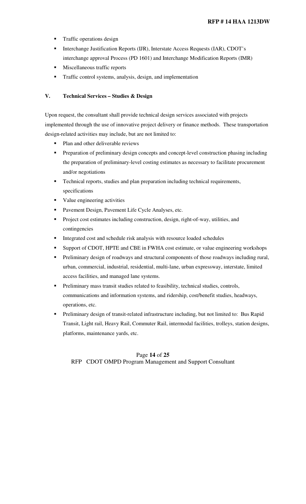- **Traffic operations design**
- **Interchange Justification Reports (IJR), Interstate Access Requests (IAR), CDOT's** interchange approval Process (PD 1601) and Interchange Modification Reports (IMR)
- Miscellaneous traffic reports
- **Traffic control systems, analysis, design, and implementation**

#### **V. Technical Services – Studies & Design**

Upon request, the consultant shall provide technical design services associated with projects implemented through the use of innovative project delivery or finance methods. These transportation design-related activities may include, but are not limited to:

- Plan and other deliverable reviews
- **Preparation of preliminary design concepts and concept-level construction phasing including** the preparation of preliminary-level costing estimates as necessary to facilitate procurement and/or negotiations
- **Technical reports, studies and plan preparation including technical requirements,** specifications
- **value engineering activities**
- **Pavement Design, Pavement Life Cycle Analyses, etc.**
- **Project cost estimates including construction, design, right-of-way, utilities, and** contingencies
- Integrated cost and schedule risk analysis with resource loaded schedules
- Support of CDOT, HPTE and CBE in FWHA cost estimate, or value engineering workshops
- Preliminary design of roadways and structural components of those roadways including rural, urban, commercial, industrial, residential, multi-lane, urban expressway, interstate, limited access facilities, and managed lane systems.
- Preliminary mass transit studies related to feasibility, technical studies, controls, communications and information systems, and ridership, cost/benefit studies, headways, operations, etc.
- Preliminary design of transit-related infrastructure including, but not limited to: Bus Rapid Transit, Light rail, Heavy Rail, Commuter Rail, intermodal facilities, trolleys, station designs, platforms, maintenance yards, etc.

## Page **14** of **25**  RFP CDOT OMPD Program Management and Support Consultant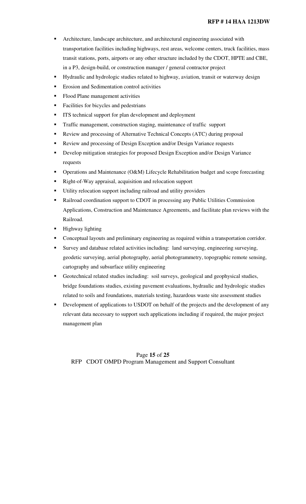#### **RFP # 14 HAA 1213DW**

- Architecture, landscape architecture, and architectural engineering associated with transportation facilities including highways, rest areas, welcome centers, truck facilities, mass transit stations, ports, airports or any other structure included by the CDOT, HPTE and CBE, in a P3, design-build, or construction manager / general contractor project
- Hydraulic and hydrologic studies related to highway, aviation, transit or waterway design
- **Example 1** Erosion and Sedimentation control activities
- Flood Plane management activities
- Facilities for bicycles and pedestrians
- **ITS** technical support for plan development and deployment
- Traffic management, construction staging, maintenance of traffic support
- **Review and processing of Alternative Technical Concepts (ATC) during proposal**
- Review and processing of Design Exception and/or Design Variance requests
- **Develop mitigation strategies for proposed Design Exception and/or Design Variance** requests
- **•** Operations and Maintenance (O&M) Lifecycle Rehabilitation budget and scope forecasting
- Right-of-Way appraisal, acquisition and relocation support
- Utility relocation support including railroad and utility providers
- Railroad coordination support to CDOT in processing any Public Utilities Commission Applications, Construction and Maintenance Agreements, and facilitate plan reviews with the Railroad.
- Highway lighting
- Conceptual layouts and preliminary engineering as required within a transportation corridor.
- Survey and database related activities including: land surveying, engineering surveying, geodetic surveying, aerial photography, aerial photogrammetry, topographic remote sensing, cartography and subsurface utility engineering
- Geotechnical related studies including: soil surveys, geological and geophysical studies, bridge foundations studies, existing pavement evaluations, hydraulic and hydrologic studies related to soils and foundations, materials testing, hazardous waste site assessment studies
- **•** Development of applications to USDOT on behalf of the projects and the development of any relevant data necessary to support such applications including if required, the major project management plan

Page **15** of **25**  RFP CDOT OMPD Program Management and Support Consultant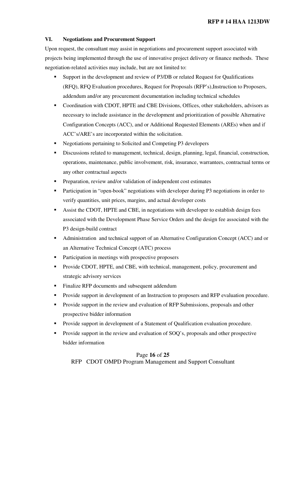## **VI. Negotiations and Procurement Support**

Upon request, the consultant may assist in negotiations and procurement support associated with projects being implemented through the use of innovative project delivery or finance methods. These negotiation-related activities may include, but are not limited to:

- Support in the development and review of P3/DB or related Request for Qualifications (RFQ), RFQ Evaluation procedures, Request for Proposals (RFP's),Instruction to Proposers, addendum and/or any procurement documentation including technical schedules
- Coordination with CDOT, HPTE and CBE Divisions, Offices, other stakeholders, advisors as necessary to include assistance in the development and prioritization of possible Alternative Configuration Concepts (ACC), and or Additional Requested Elements (AREs) when and if ACC's/ARE's are incorporated within the solicitation.
- Negotiations pertaining to Solicited and Competing P3 developers
- Discussions related to management, technical, design, planning, legal, financial, construction, operations, maintenance, public involvement, risk, insurance, warrantees, contractual terms or any other contractual aspects
- Preparation, review and/or validation of independent cost estimates
- **Participation in "open-book" negotiations with developer during P3 negotiations in order to** verify quantities, unit prices, margins, and actual developer costs
- Assist the CDOT, HPTE and CBE, in negotiations with developer to establish design fees associated with the Development Phase Service Orders and the design fee associated with the P3 design-build contract
- Administration and technical support of an Alternative Configuration Concept (ACC) and or an Alternative Technical Concept (ATC) process
- **Participation in meetings with prospective proposers**
- **Provide CDOT, HPTE, and CBE, with technical, management, policy, procurement and** strategic advisory services
- **Finalize RFP documents and subsequent addendum**
- Provide support in development of an Instruction to proposers and RFP evaluation procedure.
- **Provide support in the review and evaluation of RFP Submissions, proposals and other** prospective bidder information
- **Provide support in development of a Statement of Qualification evaluation procedure.**
- Provide support in the review and evaluation of SOQ's, proposals and other prospective bidder information

#### Page **16** of **25**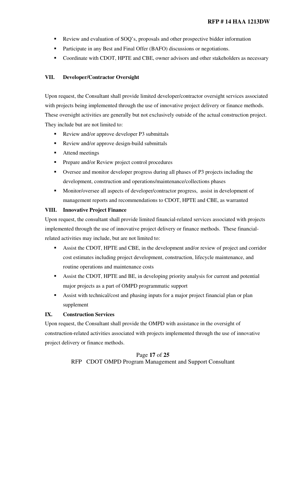- Review and evaluation of SOQ's, proposals and other prospective bidder information
- **Participate in any Best and Final Offer (BAFO) discussions or negotiations.**
- Coordinate with CDOT, HPTE and CBE, owner advisors and other stakeholders as necessary

#### **VII. Developer/Contractor Oversight**

Upon request, the Consultant shall provide limited developer/contractor oversight services associated with projects being implemented through the use of innovative project delivery or finance methods. These oversight activities are generally but not exclusively outside of the actual construction project. They include but are not limited to:

- Review and/or approve developer P3 submittals
- Review and/or approve design-build submittals
- Attend meetings
- **Prepare and/or Review project control procedures**
- Oversee and monitor developer progress during all phases of P3 projects including the development, construction and operations/maintenance/collections phases
- **Monitor/oversee all aspects of developer/contractor progress, assist in development of** management reports and recommendations to CDOT, HPTE and CBE, as warranted

#### **VIII. Innovative Project Finance**

Upon request, the consultant shall provide limited financial-related services associated with projects implemented through the use of innovative project delivery or finance methods. These financialrelated activities may include, but are not limited to:

- Assist the CDOT, HPTE and CBE, in the development and/or review of project and corridor cost estimates including project development, construction, lifecycle maintenance, and routine operations and maintenance costs
- Assist the CDOT, HPTE and BE, in developing priority analysis for current and potential major projects as a part of OMPD programmatic support
- Assist with technical/cost and phasing inputs for a major project financial plan or plan supplement

#### **IX. Construction Services**

Upon request, the Consultant shall provide the OMPD with assistance in the oversight of construction-related activities associated with projects implemented through the use of innovative project delivery or finance methods.

> Page **17** of **25**  RFP CDOT OMPD Program Management and Support Consultant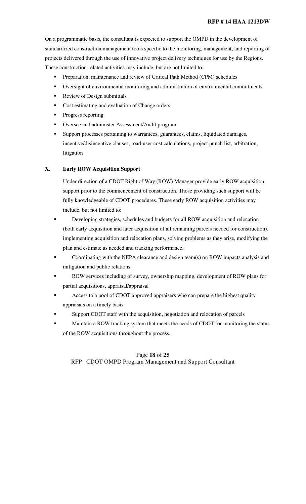#### **RFP # 14 HAA 1213DW**

On a programmatic basis, the consultant is expected to support the OMPD in the development of standardized construction management tools specific to the monitoring, management, and reporting of projects delivered through the use of innovative project delivery techniques for use by the Regions. These construction-related activities may include, but are not limited to:

- **Preparation, maintenance and review of Critical Path Method (CPM) schedules**
- Oversight of environmental monitoring and administration of environmental commitments
- Review of Design submittals
- Cost estimating and evaluation of Change orders.
- Progress reporting
- Oversee and administer Assessment/Audit program
- Support processes pertaining to warrantees, guarantees, claims, liquidated damages, incentive/disincentive clauses, road-user cost calculations, project punch list, arbitration, litigation

### **X. Early ROW Acquisition Support**

Under direction of a CDOT Right of Way (ROW) Manager provide early ROW acquisition support prior to the commencement of construction. Those providing such support will be fully knowledgeable of CDOT procedures. These early ROW acquisition activities may include, but not limited to:

- Developing strategies, schedules and budgets for all ROW acquisition and relocation (both early acquisition and later acquisition of all remaining parcels needed for construction), implementing acquisition and relocation plans, solving problems as they arise, modifying the plan and estimate as needed and tracking performance.
- Coordinating with the NEPA clearance and design team(s) on ROW impacts analysis and mitigation and public relations
- **ROW** services including of survey, ownership mapping, development of ROW plans for partial acquisitions, appraisal/appraisal
- Access to a pool of CDOT approved appraisers who can prepare the highest quality appraisals on a timely basis.
- Support CDOT staff with the acquisition, negotiation and relocation of parcels
- Maintain a ROW tracking system that meets the needs of CDOT for monitoring the status of the ROW acquisitions throughout the process.

## Page **18** of **25**  RFP CDOT OMPD Program Management and Support Consultant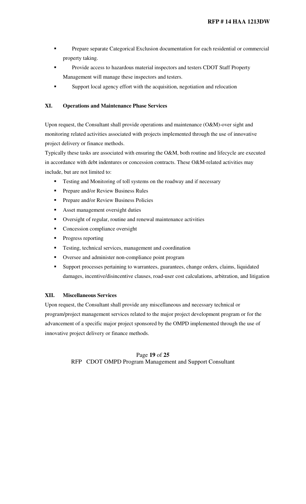- **Prepare separate Categorical Exclusion documentation for each residential or commercial** property taking.
- Provide access to hazardous material inspectors and testers CDOT Staff Property Management will manage these inspectors and testers.
- Support local agency effort with the acquisition, negotiation and relocation

## **XI. Operations and Maintenance Phase Services**

Upon request, the Consultant shall provide operations and maintenance (O&M)-over sight and monitoring related activities associated with projects implemented through the use of innovative project delivery or finance methods.

Typically these tasks are associated with ensuring the O&M, both routine and lifecycle are executed in accordance with debt indentures or concession contracts. These O&M-related activities may include, but are not limited to:

- Testing and Monitoring of toll systems on the roadway and if necessary
- **Prepare and/or Review Business Rules**
- **Prepare and/or Review Business Policies**
- **Asset management oversight duties**
- Oversight of regular, routine and renewal maintenance activities
- **Concession compliance oversight**
- Progress reporting
- **Testing, technical services, management and coordination**
- Oversee and administer non-compliance point program
- Support processes pertaining to warrantees, guarantees, change orders, claims, liquidated damages, incentive/disincentive clauses, road-user cost calculations, arbitration, and litigation

#### **XII. Miscellaneous Services**

Upon request, the Consultant shall provide any miscellaneous and necessary technical or program/project management services related to the major project development program or for the advancement of a specific major project sponsored by the OMPD implemented through the use of innovative project delivery or finance methods.

## Page **19** of **25**  RFP CDOT OMPD Program Management and Support Consultant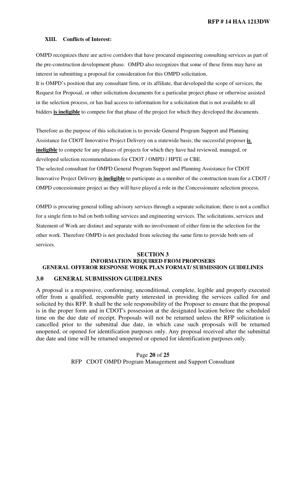**RFP # 14 HAA 1213DW**

#### **XIII. Conflicts of Interest:**

OMPD recognizes there are active corridors that have procured engineering consulting services as part of the pre-construction development phase. OMPD also recognizes that some of these firms may have an interest in submitting a proposal for consideration for this OMPD solicitation.

It is OMPD's position that any consultant firm, or its affiliate, that developed the scope of services, the Request for Proposal, or other solicitation documents for a particular project phase or otherwise assisted in the selection process, or has had access to information for a solicitation that is not available to all bidders **is ineligible** to compete for that phase of the project for which they developed the documents.

Therefore as the purpose of this solicitation is to provide General Program Support and Planning Assistance for CDOT Innovative Project Delivery on a statewide basis; the successful proposer **is ineligible** to compete for any phases of projects for which they have had reviewed, managed, or developed selection recommendations for CDOT / OMPD / HPTE or CBE.

The selected consultant for OMPD General Program Support and Planning Assistance for CDOT Innovative Project Delivery **is ineligible** to participate as a member of the construction team for a CDOT / OMPD concessionaire project as they will have played a role in the Concessionaire selection process.

OMPD is procuring general tolling advisory services through a separate solicitation; there is not a conflict for a single firm to bid on both tolling services and engineering services. The solicitations, services and Statement of Work are distinct and separate with no involvement of either firm in the selection for the other work. Therefore OMPD is not precluded from selecting the same firm to provide both sets of services.

#### **SECTION 3 INFORMATION REQUIRED FROM PROPOSERS GENERAL OFFEROR RESPONSE WORK PLAN FORMAT/ SUBMISSION GUIDELINES**

### **3.0 GENERAL SUBMISSION GUIDELINES**

A proposal is a responsive, conforming, unconditional, complete, legible and properly executed offer from a qualified, responsible party interested in providing the services called for and solicited by this RFP. It shall be the sole responsibility of the Proposer to ensure that the proposal is in the proper form and in CDOT's possession at the designated location before the scheduled time on the due date of receipt. Proposals will not be returned unless the RFP solicitation is cancelled prior to the submittal due date, in which case such proposals will be returned unopened, or opened for identification purposes only. Any proposal received after the submittal due date and time will be returned unopened or opened for identification purposes only.

> Page **20** of **25**  RFP CDOT OMPD Program Management and Support Consultant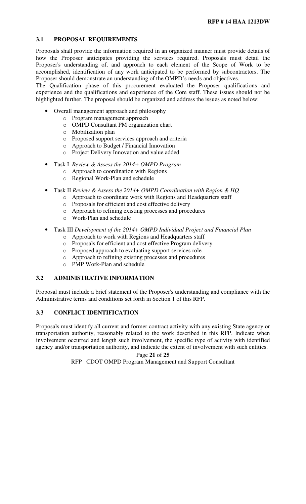## **3.1 PROPOSAL REQUIREMENTS**

Proposals shall provide the information required in an organized manner must provide details of how the Proposer anticipates providing the services required. Proposals must detail the Proposer's understanding of, and approach to each element of the Scope of Work to be accomplished, identification of any work anticipated to be performed by subcontractors. The Proposer should demonstrate an understanding of the OMPD's needs and objectives.

The Qualification phase of this procurement evaluated the Proposer qualifications and experience and the qualifications and experience of the Core staff. These issues should not be highlighted further. The proposal should be organized and address the issues as noted below:

- Overall management approach and philosophy
	- o Program management approach
	- o OMPD Consultant PM organization chart
	- o Mobilization plan
	- o Proposed support services approach and criteria
	- o Approach to Budget / Financial Innovation
	- o Project Delivery Innovation and value added
- Task I *Review & Assess the 2014+ OMPD Program*
	- o Approach to coordination with Regions
	- o Regional Work-Plan and schedule
- Task II *Review & Assess the 2014+ OMPD Coordination with Region & HQ* 
	- o Approach to coordinate work with Regions and Headquarters staff
		- o Proposals for efficient and cost effective delivery
		- o Approach to refining existing processes and procedures
		- o Work-Plan and schedule
- Task III *Development of the 2014+ OMPD Individual Project and Financial Plan*
	- o Approach to work with Regions and Headquarters staff
	- o Proposals for efficient and cost effective Program delivery
	- o Proposed approach to evaluating support services role
	- o Approach to refining existing processes and procedures
	- o PMP Work-Plan and schedule

## **3.2 ADMINISTRATIVE INFORMATION**

Proposal must include a brief statement of the Proposer's understanding and compliance with the Administrative terms and conditions set forth in Section 1 of this RFP.

## **3.3 CONFLICT IDENTIFICATION**

Proposals must identify all current and former contract activity with any existing State agency or transportation authority, reasonably related to the work described in this RFP. Indicate when involvement occurred and length such involvement, the specific type of activity with identified agency and/or transportation authority, and indicate the extent of involvement with such entities.

#### Page **21** of **25**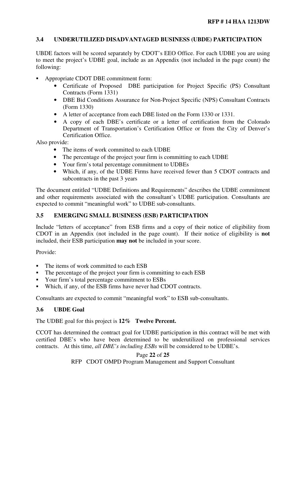## **3.4 UNDERUTILIZED DISADVANTAGED BUSINESS (UBDE) PARTICIPATION**

UBDE factors will be scored separately by CDOT's EEO Office. For each UDBE you are using to meet the project's UDBE goal, include as an Appendix (not included in the page count) the following:

- Appropriate CDOT DBE commitment form:
	- Certificate of Proposed DBE participation for Project Specific (PS) Consultant Contracts (Form 1331)
	- DBE Bid Conditions Assurance for Non-Project Specific (NPS) Consultant Contracts (Form 1330)
	- A letter of acceptance from each DBE listed on the Form 1330 or 1331.
	- A copy of each DBE's certificate or a letter of certification from the Colorado Department of Transportation's Certification Office or from the City of Denver's Certification Office.

Also provide:

- The items of work committed to each UDBE
- The percentage of the project your firm is committing to each UDBE
- Your firm's total percentage commitment to UDBEs
- Which, if any, of the UDBE Firms have received fewer than 5 CDOT contracts and subcontracts in the past 3 years

The document entitled "UDBE Definitions and Requirements" describes the UDBE commitment and other requirements associated with the consultant's UDBE participation. Consultants are expected to commit "meaningful work" to UDBE sub-consultants.

## **3.5 EMERGING SMALL BUSINESS (ESB) PARTICIPATION**

Include "letters of acceptance" from ESB firms and a copy of their notice of eligibility from CDOT in an Appendix (not included in the page count). If their notice of eligibility is **not** included, their ESB participation **may not** be included in your score.

Provide:

- The items of work committed to each ESB
- The percentage of the project your firm is committing to each ESB
- Your firm's total percentage commitment to ESBs
- Which, if any, of the ESB firms have never had CDOT contracts.

Consultants are expected to commit "meaningful work" to ESB sub-consultants.

## **3.6 UBDE Goal**

The UDBE goal for this project is **12% Twelve Percent.**

CCOT has determined the contract goal for UDBE participation in this contract will be met with certified DBE's who have been determined to be underutilized on professional services contracts. At this time, *all DBE's including ESBs* will be considered to be UDBE's.

Page **22** of **25**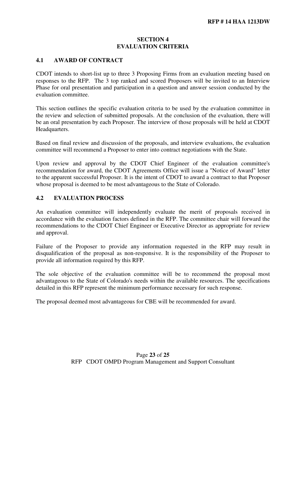#### **SECTION 4 EVALUATION CRITERIA**

#### **4.1 AWARD OF CONTRACT**

CDOT intends to short-list up to three 3 Proposing Firms from an evaluation meeting based on responses to the RFP. The 3 top ranked and scored Proposers will be invited to an Interview Phase for oral presentation and participation in a question and answer session conducted by the evaluation committee.

This section outlines the specific evaluation criteria to be used by the evaluation committee in the review and selection of submitted proposals. At the conclusion of the evaluation, there will be an oral presentation by each Proposer. The interview of those proposals will be held at CDOT Headquarters.

Based on final review and discussion of the proposals, and interview evaluations, the evaluation committee will recommend a Proposer to enter into contract negotiations with the State.

Upon review and approval by the CDOT Chief Engineer of the evaluation committee's recommendation for award, the CDOT Agreements Office will issue a "Notice of Award" letter to the apparent successful Proposer. It is the intent of CDOT to award a contract to that Proposer whose proposal is deemed to be most advantageous to the State of Colorado.

#### **4.2 EVALUATION PROCESS**

An evaluation committee will independently evaluate the merit of proposals received in accordance with the evaluation factors defined in the RFP. The committee chair will forward the recommendations to the CDOT Chief Engineer or Executive Director as appropriate for review and approval.

Failure of the Proposer to provide any information requested in the RFP may result in disqualification of the proposal as non-responsive. It is the responsibility of the Proposer to provide all information required by this RFP.

The sole objective of the evaluation committee will be to recommend the proposal most advantageous to the State of Colorado's needs within the available resources. The specifications detailed in this RFP represent the minimum performance necessary for such response.

The proposal deemed most advantageous for CBE will be recommended for award.

Page **23** of **25**  RFP CDOT OMPD Program Management and Support Consultant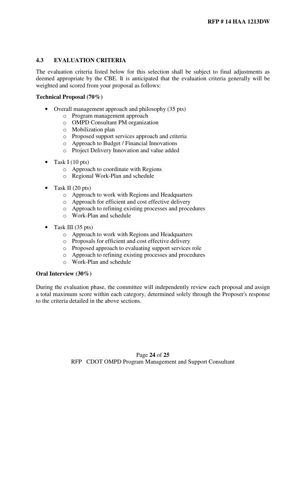## **4.3 EVALUATION CRITERIA**

The evaluation criteria listed below for this selection shall be subject to final adjustments as deemed appropriate by the CBE. It is anticipated that the evaluation criteria generally will be weighted and scored from your proposal as follows:

#### **Technical Proposal (70%)**

- Overall management approach and philosophy (35 pts)
	- o Program management approach
	- o OMPD Consultant PM organization
	- o Mobilization plan
	- o Proposed support services approach and criteria
	- o Approach to Budget / Financial Innovations
	- o Project Delivery Innovation and value added
- Task I (10 pts)
	- o Approach to coordinate with Regions
	- o Regional Work-Plan and schedule
- Task II (20 pts)
	- o Approach to work with Regions and Headquarters
	- o Approach for efficient and cost effective delivery
	- o Approach to refining existing processes and procedures
	- o Work-Plan and schedule
- Task III (35 pts)
	- o Approach to work with Regions and Headquarters
	- o Proposals for efficient and cost effective delivery
	- o Proposed approach to evaluating support services role
	- o Approach to refining existing processes and procedures
	- o Work-Plan and schedule

### **Oral Interview (30%)**

During the evaluation phase, the committee will independently review each proposal and assign a total maximum score within each category, determined solely through the Proposer's response to the criteria detailed in the above sections.

> Page **24** of **25**  RFP CDOT OMPD Program Management and Support Consultant